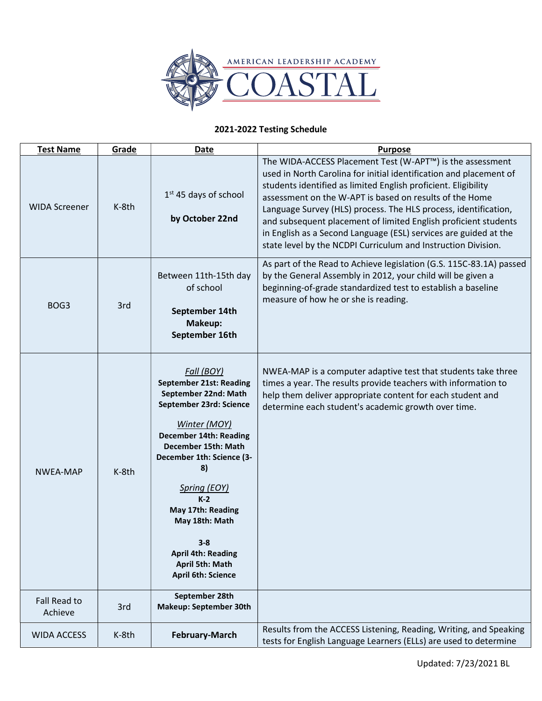

## 2021-2022 Testing Schedule

| <b>Test Name</b>        | Grade | <b>Date</b>                                                                                                                                                                                                                                                                                                                                                               | <b>Purpose</b>                                                                                                                                                                                                                                                                                                                                                                                                                                                                                                                          |
|-------------------------|-------|---------------------------------------------------------------------------------------------------------------------------------------------------------------------------------------------------------------------------------------------------------------------------------------------------------------------------------------------------------------------------|-----------------------------------------------------------------------------------------------------------------------------------------------------------------------------------------------------------------------------------------------------------------------------------------------------------------------------------------------------------------------------------------------------------------------------------------------------------------------------------------------------------------------------------------|
| <b>WIDA Screener</b>    | K-8th | $1st$ 45 days of school<br>by October 22nd                                                                                                                                                                                                                                                                                                                                | The WIDA-ACCESS Placement Test (W-APT™) is the assessment<br>used in North Carolina for initial identification and placement of<br>students identified as limited English proficient. Eligibility<br>assessment on the W-APT is based on results of the Home<br>Language Survey (HLS) process. The HLS process, identification,<br>and subsequent placement of limited English proficient students<br>in English as a Second Language (ESL) services are guided at the<br>state level by the NCDPI Curriculum and Instruction Division. |
| BOG <sub>3</sub>        | 3rd   | Between 11th-15th day<br>of school<br>September 14th<br>Makeup:<br>September 16th                                                                                                                                                                                                                                                                                         | As part of the Read to Achieve legislation (G.S. 115C-83.1A) passed<br>by the General Assembly in 2012, your child will be given a<br>beginning-of-grade standardized test to establish a baseline<br>measure of how he or she is reading.                                                                                                                                                                                                                                                                                              |
| NWEA-MAP                | K-8th | Fall (BOY)<br><b>September 21st: Reading</b><br>September 22nd: Math<br>September 23rd: Science<br>Winter (MOY)<br><b>December 14th: Reading</b><br>December 15th: Math<br>December 1th: Science (3-<br>8)<br>Spring (EOY)<br>$K-2$<br>May 17th: Reading<br>May 18th: Math<br>$3 - 8$<br><b>April 4th: Reading</b><br><b>April 5th: Math</b><br><b>April 6th: Science</b> | NWEA-MAP is a computer adaptive test that students take three<br>times a year. The results provide teachers with information to<br>help them deliver appropriate content for each student and<br>determine each student's academic growth over time.                                                                                                                                                                                                                                                                                    |
| Fall Read to<br>Achieve | 3rd   | September 28th<br><b>Makeup: September 30th</b>                                                                                                                                                                                                                                                                                                                           |                                                                                                                                                                                                                                                                                                                                                                                                                                                                                                                                         |
| <b>WIDA ACCESS</b>      | K-8th | <b>February-March</b>                                                                                                                                                                                                                                                                                                                                                     | Results from the ACCESS Listening, Reading, Writing, and Speaking<br>tests for English Language Learners (ELLs) are used to determine                                                                                                                                                                                                                                                                                                                                                                                                   |